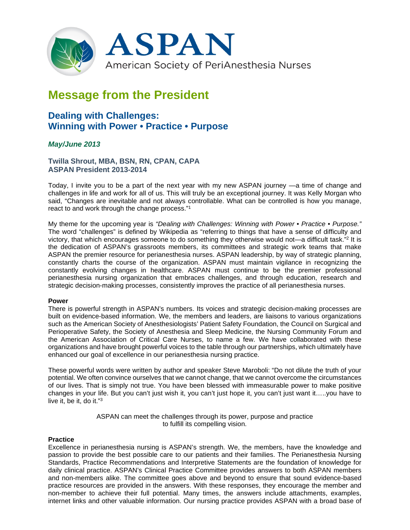

# **Message from the President**

# **Dealing with Challenges: Winning with Power • Practice • Purpose**

## *May/June 2013*

### **Twilla Shrout, MBA, BSN, RN, CPAN, CAPA ASPAN President 2013-2014**

Today, I invite you to be a part of the next year with my new ASPAN journey —a time of change and challenges in life and work for all of us. This will truly be an exceptional journey. It was Kelly Morgan who said, "Changes are inevitable and not always controllable. What can be controlled is how you manage, react to and work through the change process."1

My theme for the upcoming year is *"Dealing with Challenges: Winning with Power • Practice • Purpose."*  The word "challenges" is defined by Wikipedia as "referring to things that have a sense of difficulty and victory, that which encourages someone to do something they otherwise would not—a difficult task."2 It is the dedication of ASPAN's grassroots members, its committees and strategic work teams that make ASPAN the premier resource for perianesthesia nurses. ASPAN leadership, by way of strategic planning, constantly charts the course of the organization. ASPAN must maintain vigilance in recognizing the constantly evolving changes in healthcare. ASPAN must continue to be the premier professional perianesthesia nursing organization that embraces challenges, and through education, research and strategic decision-making processes, consistently improves the practice of all perianesthesia nurses.

#### **Power**

There is powerful strength in ASPAN's numbers. Its voices and strategic decision-making processes are built on evidence-based information. We, the members and leaders, are liaisons to various organizations such as the American Society of Anesthesiologists' Patient Safety Foundation, the Council on Surgical and Perioperative Safety, the Society of Anesthesia and Sleep Medicine, the Nursing Community Forum and the American Association of Critical Care Nurses, to name a few. We have collaborated with these organizations and have brought powerful voices to the table through our partnerships, which ultimately have enhanced our goal of excellence in our perianesthesia nursing practice.

These powerful words were written by author and speaker Steve Maroboli: "Do not dilute the truth of your potential. We often convince ourselves that we cannot change, that we cannot overcome the circumstances of our lives. That is simply not true. You have been blessed with immeasurable power to make positive changes in your life. But you can't just wish it, you can't just hope it, you can't just want it…..you have to live it, be it, do it."3

> ASPAN can meet the challenges through its power, purpose and practice to fulfill its compelling vision.

#### **Practice**

Excellence in perianesthesia nursing is ASPAN's strength. We, the members, have the knowledge and passion to provide the best possible care to our patients and their families. The Perianesthesia Nursing Standards, Practice Recommendations and Interpretive Statements are the foundation of knowledge for daily clinical practice. ASPAN's Clinical Practice Committee provides answers to both ASPAN members and non-members alike. The committee goes above and beyond to ensure that sound evidence-based practice resources are provided in the answers. With these responses, they encourage the member and non-member to achieve their full potential. Many times, the answers include attachments, examples, internet links and other valuable information. Our nursing practice provides ASPAN with a broad base of